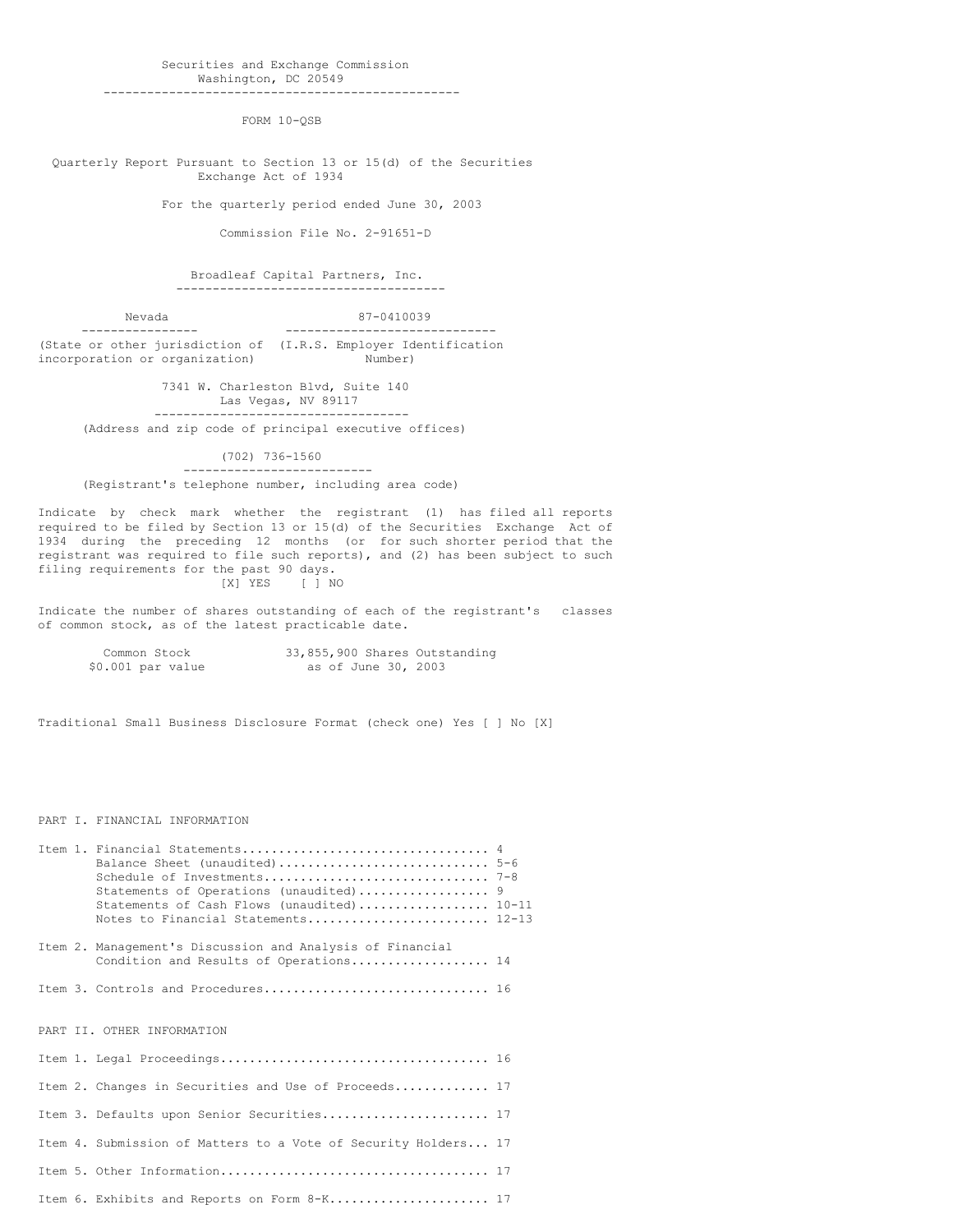Securities and Exchange Commission Washington, DC 20549 -------------------------------------------------

FORM 10-QSB

Quarterly Report Pursuant to Section 13 or 15(d) of the Securities Exchange Act of 1934

For the quarterly period ended June 30, 2003

Commission File No. 2-91651-D

Broadleaf Capital Partners, Inc. -------------------------------------

Nevada 87-0410039 ---------------- ----------------------------- (State or other jurisdiction of (I.R.S. Employer Identification incorporation or organization) Mumber)

> 7341 W. Charleston Blvd, Suite 140 Las Vegas, NV 89117 -----------------------------------

(Address and zip code of principal executive offices)

(702) 736-1560

-------------------------- (Registrant's telephone number, including area code)

Indicate by check mark whether the registrant (1) has filed all reports required to be filed by Section 13 or 15(d) of the Securities Exchange Act of 1934 during the preceding 12 months (or for such shorter period that the registrant was required to file such reports), and (2) has been subject to such filing requirements for the past 90 days. [X] YES [ ] NO

Indicate the number of shares outstanding of each of the registrant's classes of common stock, as of the latest practicable date.

| Common Stock      | 33,855,900 Shares Outstanding |  |
|-------------------|-------------------------------|--|
| \$0.001 par value | as of June 30, 2003           |  |

Traditional Small Business Disclosure Format (check one) Yes [ ] No [X]

## PART I. FINANCIAL INFORMATION

|  | Statements of Operations (unaudited) 9<br>Statements of Cash Flows (unaudited) 10-11<br>Notes to Financial Statements 12-13 |  |
|--|-----------------------------------------------------------------------------------------------------------------------------|--|
|  | Item 2. Management's Discussion and Analysis of Financial<br>Condition and Results of Operations 14                         |  |
|  | Item 3. Controls and Procedures 16                                                                                          |  |
|  | PART II. OTHER INFORMATION                                                                                                  |  |
|  |                                                                                                                             |  |
|  | Item 2. Changes in Securities and Use of Proceeds 17                                                                        |  |
|  | Item 3. Defaults upon Senior Securities 17                                                                                  |  |
|  | Item 4. Submission of Matters to a Vote of Security Holders 17                                                              |  |
|  |                                                                                                                             |  |
|  | Item 6. Exhibits and Reports on Form 8-K 17                                                                                 |  |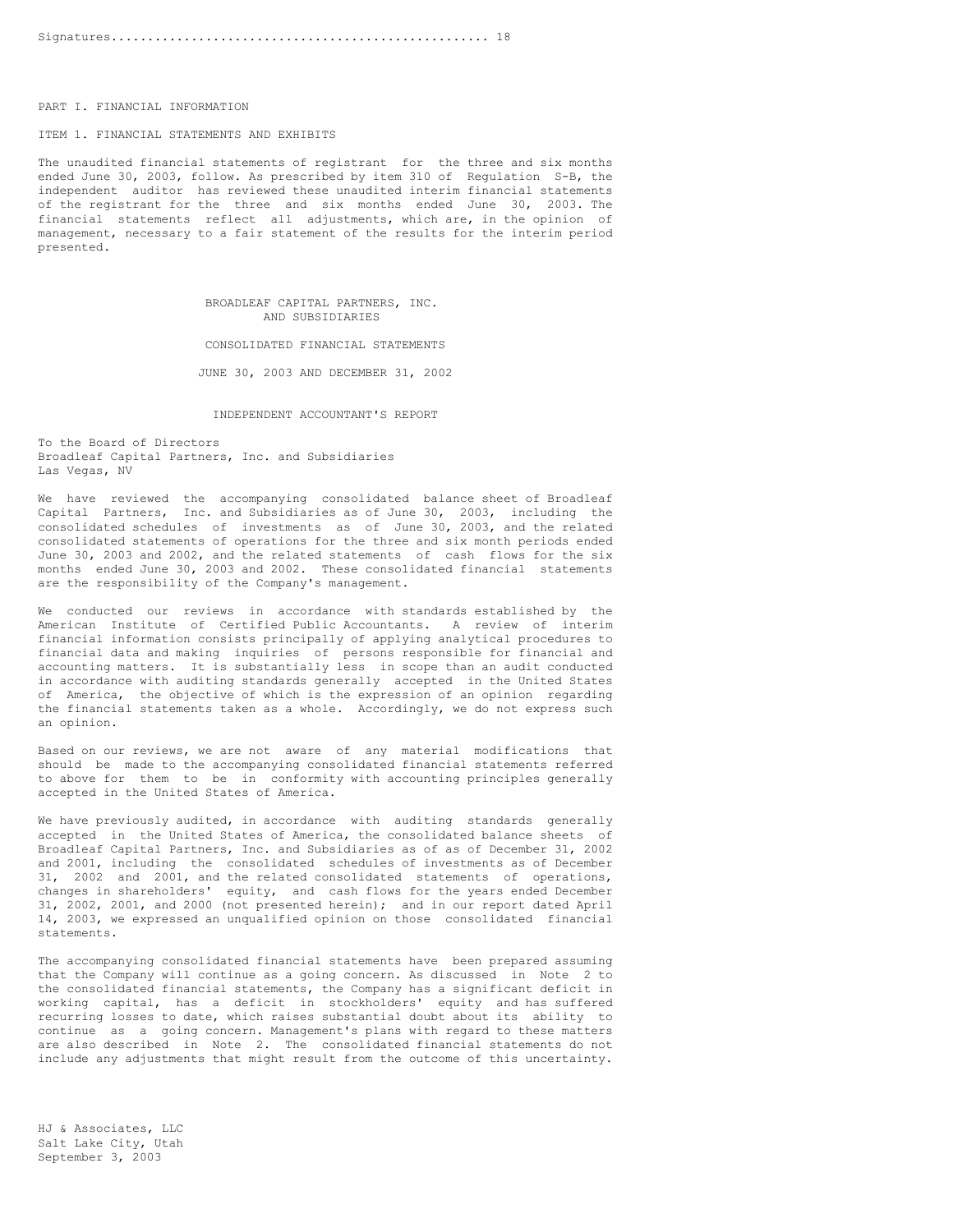PART I. FINANCIAL INFORMATION

# ITEM 1. FINANCIAL STATEMENTS AND EXHIBITS

The unaudited financial statements of registrant for the three and six months ended June 30, 2003, follow. As prescribed by item 310 of Regulation S-B, the independent auditor has reviewed these unaudited interim financial statements of the registrant for the three and six months ended June 30, 2003. The financial statements reflect all adjustments, which are, in the opinion of management, necessary to a fair statement of the results for the interim period presented.

> BROADLEAF CAPITAL PARTNERS, INC. AND SUBSIDIARIES

CONSOLIDATED FINANCIAL STATEMENTS

JUNE 30, 2003 AND DECEMBER 31, 2002

INDEPENDENT ACCOUNTANT'S REPORT

To the Board of Directors Broadleaf Capital Partners, Inc. and Subsidiaries Las Vegas, NV

We have reviewed the accompanying consolidated balance sheet of Broadleaf Capital Partners, Inc. and Subsidiaries as of June 30, 2003, including the consolidated schedules of investments as of June 30, 2003, and the related consolidated statements of operations for the three and six month periods ended June 30, 2003 and 2002, and the related statements of cash flows for the six months ended June 30, 2003 and 2002. These consolidated financial statements are the responsibility of the Company's management.

We conducted our reviews in accordance with standards established by the American Institute of Certified Public Accountants. A review of interim financial information consists principally of applying analytical procedures to financial data and making inquiries of persons responsible for financial and accounting matters. It is substantially less in scope than an audit conducted in accordance with auditing standards generally accepted in the United States of America, the objective of which is the expression of an opinion regarding the financial statements taken as a whole. Accordingly, we do not express such an opinion.

Based on our reviews, we are not aware of any material modifications that should be made to the accompanying consolidated financial statements referred to above for them to be in conformity with accounting principles generally accepted in the United States of America.

We have previously audited, in accordance with auditing standards generally accepted in the United States of America, the consolidated balance sheets of Broadleaf Capital Partners, Inc. and Subsidiaries as of as of December 31, 2002 and 2001, including the consolidated schedules of investments as of December 31, 2002 and 2001, and the related consolidated statements of operations, changes in shareholders' equity, and cash flows for the years ended December 31, 2002, 2001, and 2000 (not presented herein); and in our report dated April 14, 2003, we expressed an unqualified opinion on those consolidated financial statements.

The accompanying consolidated financial statements have been prepared assuming that the Company will continue as a going concern. As discussed in Note 2 to the consolidated financial statements, the Company has a significant deficit in working capital, has a deficit in stockholders' equity and has suffered recurring losses to date, which raises substantial doubt about its ability to continue as a going concern. Management's plans with regard to these matters are also described in Note 2. The consolidated financial statements do not include any adjustments that might result from the outcome of this uncertainty.

HJ & Associates, LLC Salt Lake City, Utah September 3, 2003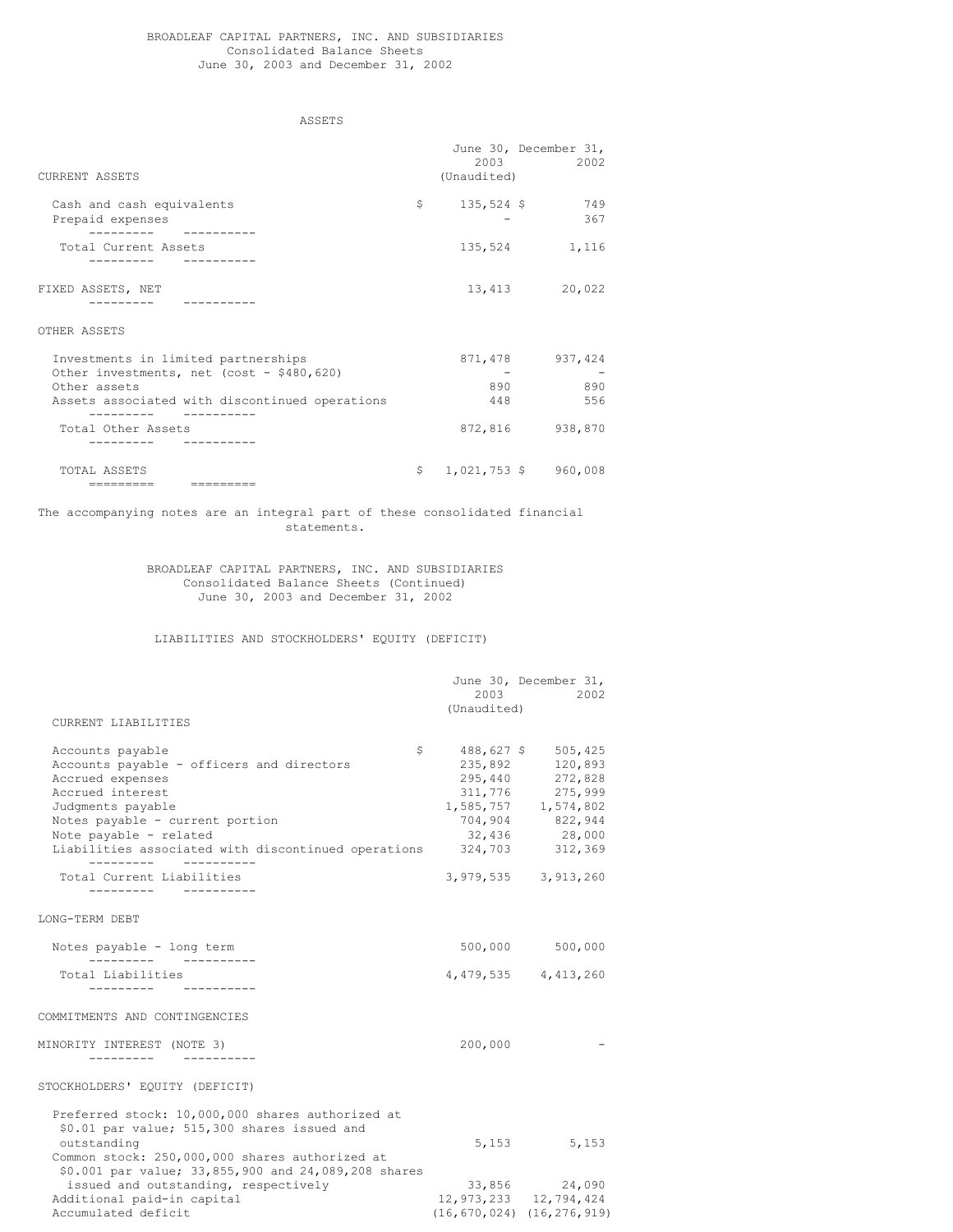#### BROADLEAF CAPITAL PARTNERS, INC. AND SUBSIDIARIES Consolidated Balance Sheets June 30, 2003 and December 31, 2002

ASSETS

June 30, December 31,

| <b>CURRENT ASSETS</b>                                                                                                               | 2003<br>(Unaudited) | 2002                                                           |
|-------------------------------------------------------------------------------------------------------------------------------------|---------------------|----------------------------------------------------------------|
| Cash and cash equivalents<br>Prepaid expenses                                                                                       | \$<br>$135,524$ \$  | 749<br>367                                                     |
| Total Current Assets                                                                                                                | 135,524             | 1,116                                                          |
| FIXED ASSETS, NET                                                                                                                   |                     | 13,413 20,022                                                  |
| OTHER ASSETS                                                                                                                        |                     |                                                                |
| Investments in limited partnerships<br>Other investments, net (cost - \$480,620)<br>Other assets                                    | $\sim$<br>890       | 871,478 937,424<br>890                                         |
| Assets associated with discontinued operations                                                                                      | 448                 | 556                                                            |
| Total Other Assets                                                                                                                  |                     | 872,816 938,870                                                |
| TOTAL ASSETS                                                                                                                        |                     | $$1,021,753$ \$ 960,008                                        |
| The accompanying notes are an integral part of these consolidated financial<br>statements.                                          |                     |                                                                |
| BROADLEAF CAPITAL PARTNERS, INC. AND SUBSIDIARIES<br>Consolidated Balance Sheets (Continued)<br>June 30, 2003 and December 31, 2002 |                     |                                                                |
| LIABILITIES AND STOCKHOLDERS' EQUITY (DEFICIT)                                                                                      |                     |                                                                |
|                                                                                                                                     | 2003                | June 30, December 31,<br>2002                                  |
| CURRENT LIABILITIES                                                                                                                 | (Unaudited)         |                                                                |
| Accounts payable                                                                                                                    | \$                  | 488,627 \$ 505,425                                             |
| Accounts payable - officers and directors                                                                                           | 235,892             | 120,893                                                        |
| Accrued expenses                                                                                                                    | 295,440<br>311,776  | 272,828                                                        |
| Accrued interest<br>Judgments payable                                                                                               |                     | 275,999<br>$311,776$ 275,999<br>1,585,757 1,574,802            |
| Notes payable - current portion                                                                                                     | 704,904             | 822,944                                                        |
| Note payable - related                                                                                                              | 32,436              | 28,000                                                         |
| Liabilities associated with discontinued operations                                                                                 | 324,703             | 312,369                                                        |
| Total Current Liabilities                                                                                                           |                     | 3,979,535 3,913,260                                            |
| LONG-TERM DEBT                                                                                                                      |                     |                                                                |
| Notes payable - long term<br>. <u>.</u>                                                                                             | 500,000             | 500,000                                                        |
| Total Liabilities<br>__________  ___________                                                                                        |                     | 4, 479, 535 4, 413, 260                                        |
| COMMITMENTS AND CONTINGENCIES                                                                                                       |                     |                                                                |
| MINORITY INTEREST (NOTE 3)                                                                                                          | 200,000             |                                                                |
| STOCKHOLDERS' EQUITY (DEFICIT)                                                                                                      |                     |                                                                |
| Preferred stock: 10,000,000 shares authorized at<br>\$0.01 par value; 515,300 shares issued and                                     |                     |                                                                |
| outstanding<br>Common stock: 250,000,000 shares authorized at<br>\$0.001 par value; 33,855,900 and 24,089,208 shares                |                     | 5,153<br>5,153                                                 |
| issued and outstanding, respectively                                                                                                |                     | 33,856 24,090                                                  |
| Additional paid-in capital<br>Accumulated deficit                                                                                   |                     | 12, 973, 233 12, 794, 424<br>$(16, 670, 024)$ $(16, 276, 919)$ |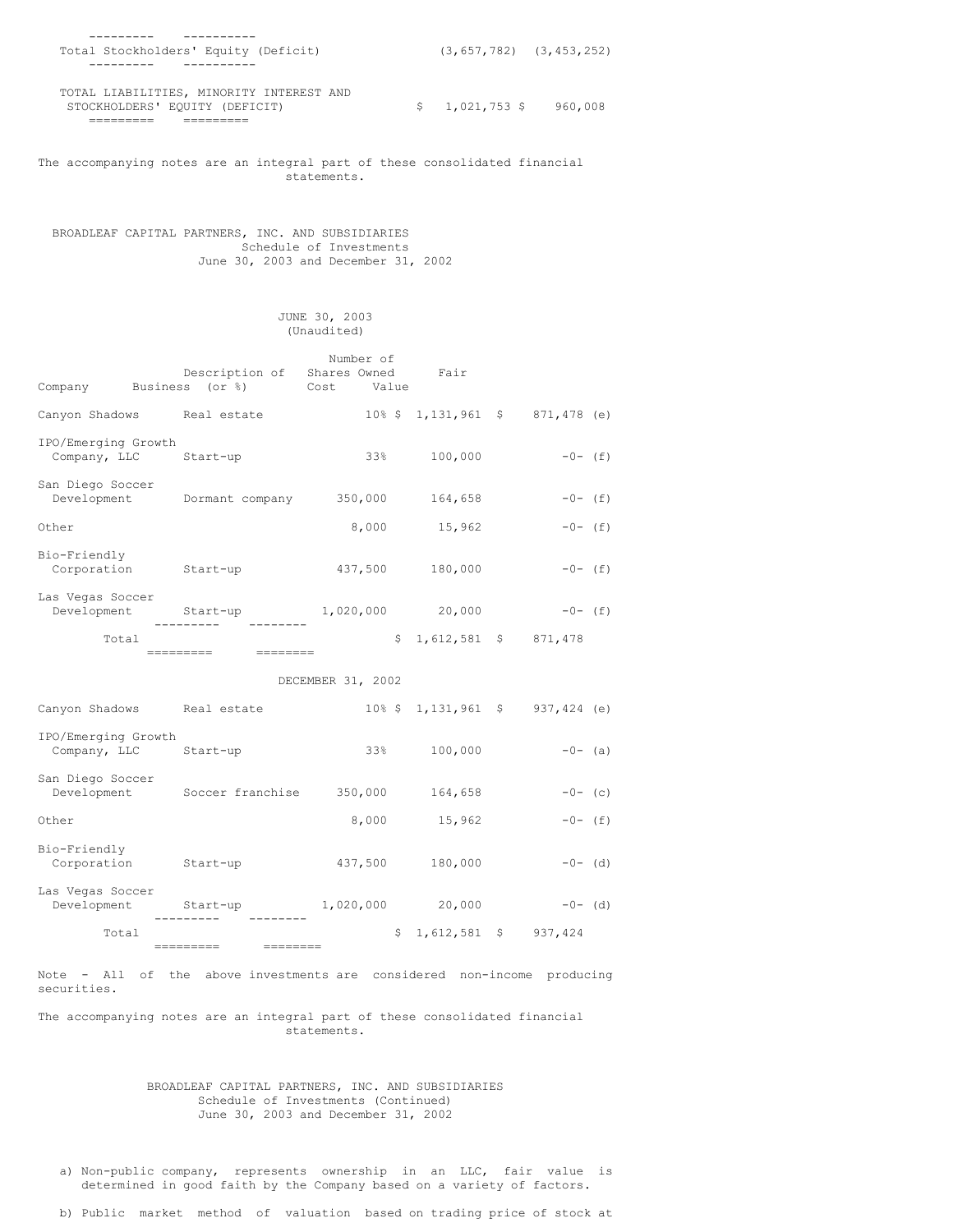| Total Stockholders' Equity (Deficit)                                       | $(3, 657, 782)$ $(3, 453, 252)$ |         |
|----------------------------------------------------------------------------|---------------------------------|---------|
| - - - - - - - -<br>--------                                                |                                 |         |
| TOTAL LIABILITIES, MINORITY INTEREST AND<br>STOCKHOLDERS' EQUITY (DEFICIT) | $$1.021.753$ \$                 | 960.008 |
|                                                                            |                                 |         |

The accompanying notes are an integral part of these consolidated financial statements.

BROADLEAF CAPITAL PARTNERS, INC. AND SUBSIDIARIES Schedule of Investments June 30, 2003 and December 31, 2002

# JUNE 30, 2003 (Unaudited)

| Number of                           |           |                                           |                      |           |    |                        |  |             |  |
|-------------------------------------|-----------|-------------------------------------------|----------------------|-----------|----|------------------------|--|-------------|--|
|                                     |           | Description of<br>Company Business (or %) | Shares Owned<br>Cost | Value     |    | Fair                   |  |             |  |
| Canyon Shadows                      |           | Real estate                               |                      |           |    | $10\%$ \$ 1,131,961 \$ |  | 871,478 (e) |  |
| IPO/Emerging Growth<br>Company, LLC |           | Start-up                                  |                      | 33%       |    | 100,000                |  | $-0- (f)$   |  |
| San Diego Soccer<br>Development     |           | Dormant company                           |                      | 350,000   |    | 164,658                |  | $-0- (f)$   |  |
| Other                               |           |                                           |                      | 8,000     |    | 15,962                 |  | $-0- (f)$   |  |
| Bio-Friendly<br>Corporation         |           | Start-up                                  |                      | 437,500   |    | 180,000                |  | $-0- (f)$   |  |
| Las Vegas Soccer<br>Development     |           | Start-up                                  | 1,020,000            |           |    | 20,000                 |  | $-0-$ (f)   |  |
| Total                               | ========= | ---------                                 |                      |           | \$ | $1,612,581$ \$         |  | 871,478     |  |
|                                     |           |                                           | DECEMBER 31, 2002    |           |    |                        |  |             |  |
| Canyon Shadows                      |           |                                           |                      |           |    | $10\%$ \$ 1,131,961 \$ |  |             |  |
|                                     |           | Real estate                               |                      |           |    |                        |  | 937,424 (e) |  |
| IPO/Emerging Growth<br>Company, LLC |           | Start-up                                  |                      | 33%       |    | 100,000                |  | $-0-$ (a)   |  |
| San Diego Soccer<br>Development     |           | Soccer franchise                          |                      | 350,000   |    | 164,658                |  | $-0-$ (c)   |  |
| Other                               |           |                                           |                      | 8,000     |    | 15,962                 |  | $-0- (f)$   |  |
| Bio-Friendly<br>Corporation         |           | Start-up                                  |                      | 437,500   |    | 180,000                |  | $-0-$ (d)   |  |
| Las Vegas Soccer<br>Development     |           | Start-up                                  |                      | 1,020,000 |    | 20,000                 |  | $-0-$ (d)   |  |
| Total                               |           |                                           |                      |           | \$ | $1,612,581$ \$         |  | 937, 424    |  |

Note - All of the above investments are considered non-income producing securities.

The accompanying notes are an integral part of these consolidated financial statements.

BROADLEAF CAPITAL PARTNERS, INC. AND SUBSIDIARIES Schedule of Investments (Continued) June 30, 2003 and December 31, 2002

a) Non-public company, represents ownership in an LLC, fair value is determined in good faith by the Company based on a variety of factors.

b) Public market method of valuation based on trading price of stock at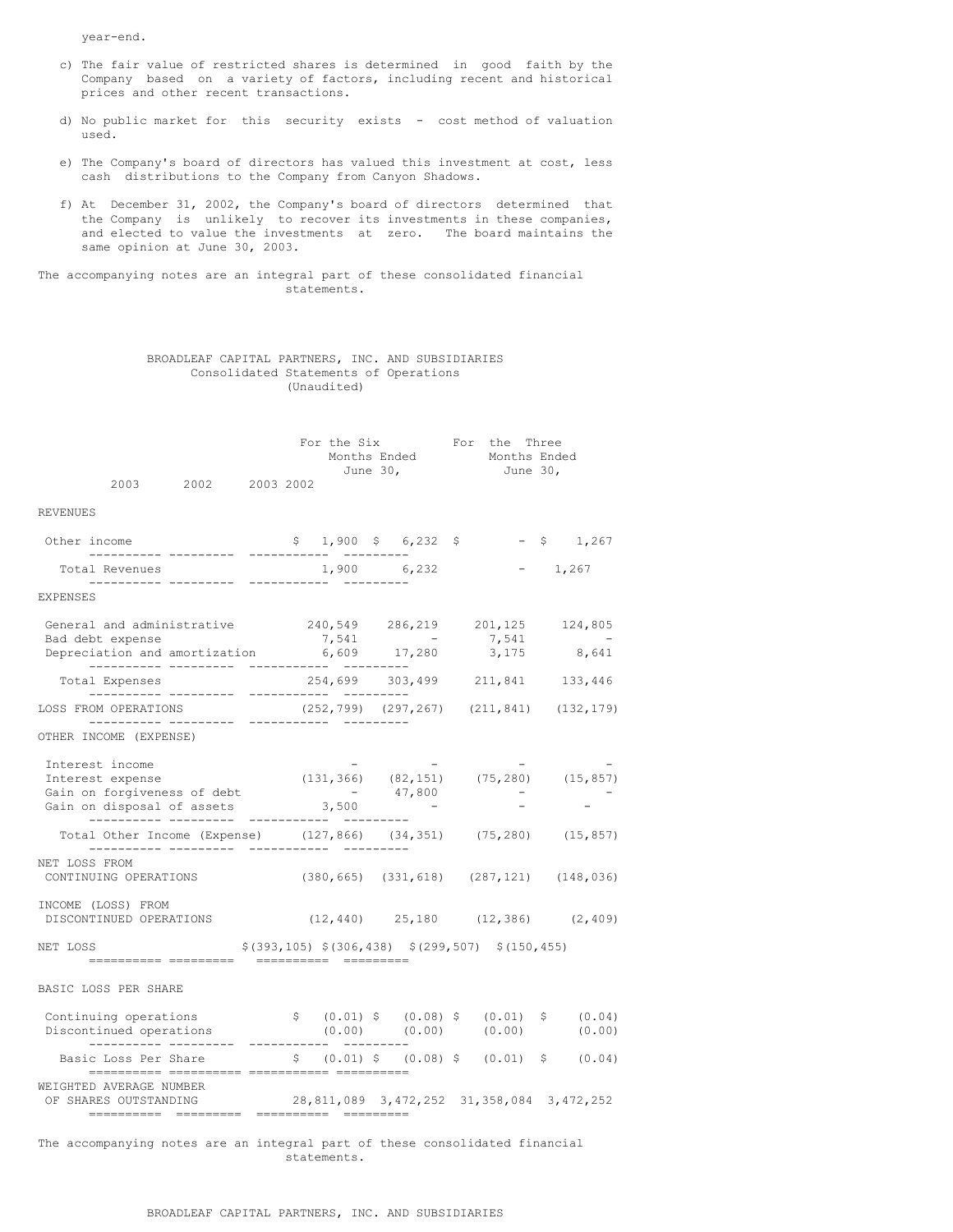year-end.

- c) The fair value of restricted shares is determined in good faith by the Company based on a variety of factors, including recent and historical prices and other recent transactions.
- d) No public market for this security exists cost method of valuation used.
- e) The Company's board of directors has valued this investment at cost, less cash distributions to the Company from Canyon Shadows.
- f) At December 31, 2002, the Company's board of directors determined that the Company is unlikely to recover its investments in these companies, and elected to value the investments at zero. The board maintains the same opinion at June 30, 2003.

The accompanying notes are an integral part of these consolidated financial statements.

|  |                                       |  | BROADLEAF CAPITAL PARTNERS, INC. AND SUBSIDIARIES |
|--|---------------------------------------|--|---------------------------------------------------|
|  | Consolidated Statements of Operations |  |                                                   |
|  | (Unaudited)                           |  |                                                   |

|                                                                                                                                                     |                                                         | For the Six<br>$\begin{tabular}{ll} Months & Ended \\ June 30, & June 30, \end{tabular}$<br>June 30, |  | For the Three            |
|-----------------------------------------------------------------------------------------------------------------------------------------------------|---------------------------------------------------------|------------------------------------------------------------------------------------------------------|--|--------------------------|
| 2003 2002 2003 2002                                                                                                                                 |                                                         |                                                                                                      |  |                          |
| <b>REVENUES</b>                                                                                                                                     |                                                         |                                                                                                      |  |                          |
|                                                                                                                                                     | $$1,900 \t$ 6,232 \t$ - $1,267$                         |                                                                                                      |  |                          |
| Total Revenues                                                                                                                                      |                                                         |                                                                                                      |  |                          |
| EXPENSES                                                                                                                                            |                                                         |                                                                                                      |  |                          |
| General and administrative<br>240,549  286,219  201,125  124,805<br>Bad debt expense 7,541 -<br>Depreciation and amortization 6,609 17,280          |                                                         |                                                                                                      |  |                          |
|                                                                                                                                                     |                                                         |                                                                                                      |  | $7,541$ -<br>3,175 8,641 |
|                                                                                                                                                     |                                                         |                                                                                                      |  |                          |
| LOSS FROM OPERATIONS $(252, 799)$ $(297, 267)$ $(211, 841)$ $(132, 179)$                                                                            |                                                         |                                                                                                      |  |                          |
| OTHER INCOME (EXPENSE)                                                                                                                              |                                                         |                                                                                                      |  |                          |
| Interest income<br>Interest expense                                                                                                                 | $(131, 366)$ $(82, 151)$ $(75, 280)$ $(15, 857)$        |                                                                                                      |  |                          |
| Total Other Income (Expense) (127,866) (34,351) (75,280) (15,857)                                                                                   |                                                         |                                                                                                      |  |                          |
| NET LOSS FROM<br>CONTINUING OPERATIONS (380,665) (331,618) (287,121) (148,036)                                                                      |                                                         |                                                                                                      |  |                          |
| INCOME (LOSS) FROM<br>DISCONTINUED OPERATIONS (12,440) 25,180 (12,386) (2,409)                                                                      |                                                         |                                                                                                      |  |                          |
| NET LOSS                                                                                                                                            | $$(393, 105)$ $$(306, 438)$ $$(299, 507)$ $$(150, 455)$ |                                                                                                      |  |                          |
| BASIC LOSS PER SHARE                                                                                                                                |                                                         |                                                                                                      |  |                          |
| Continuing operations $\qquad$ $\qquad$ $\qquad$ $(0.01)$ $\qquad$ $(0.08)$ $\qquad$ $(0.01)$ $\qquad$ $(0.00)$ $(0.00)$ $(0.00)$ $(0.00)$ $(0.00)$ | $$ (0.01) $ (0.08) $ (0.01) $ (0.01) $ (0.04)$          |                                                                                                      |  |                          |
| Basic Loss Per Share 5 (0.01) \$ (0.08) \$ (0.01) \$ (0.04)<br>---------- --------- -                                                               |                                                         |                                                                                                      |  |                          |
| WEIGHTED AVERAGE NUMBER<br>OF SHARES OUTSTANDING 28,811,089 3,472,252 31,358,084 3,472,252<br>--------- ---------                                   |                                                         |                                                                                                      |  |                          |

The accompanying notes are an integral part of these consolidated financial statements.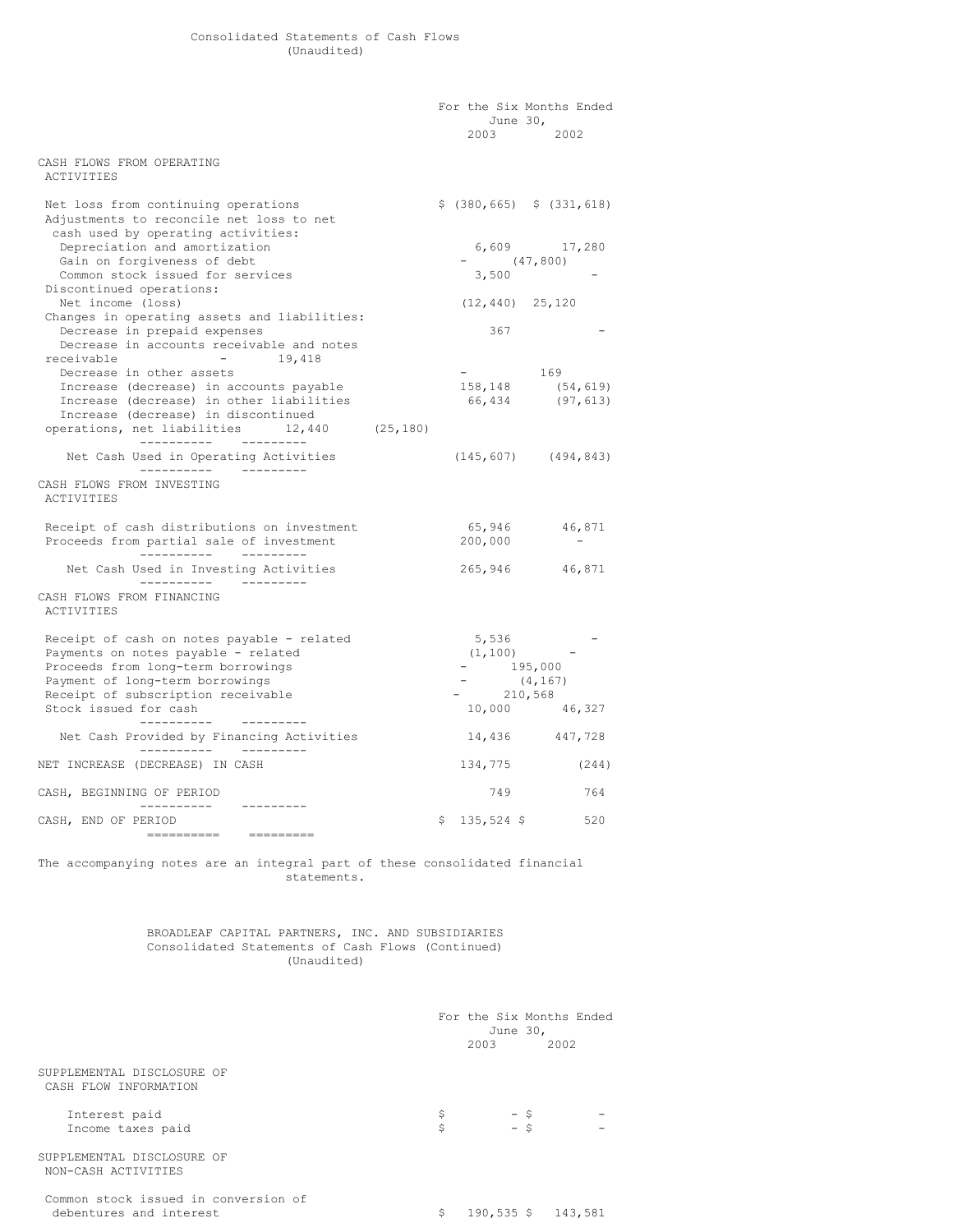|                                                                                                                                                                                                            | June $30r$<br>2003 - 2003 - 2004 - 2005 - 2006 - 2006 - 2007 - 2008 - 2008 - 2008 - 2008 - 2008 - 2008 - 2008 - 2008 - 2008 - 2008 - 2008 - 2008 - 2008 - 2008 - 2008 - 2008 - 2008 - 2008 - 2008 - 2008 - 2008 - 2008 - 2008 - 2008 - 2008 - | For the Six Months Ended<br>2002           |
|------------------------------------------------------------------------------------------------------------------------------------------------------------------------------------------------------------|-----------------------------------------------------------------------------------------------------------------------------------------------------------------------------------------------------------------------------------------------|--------------------------------------------|
| CASH FLOWS FROM OPERATING<br>ACTIVITIES                                                                                                                                                                    |                                                                                                                                                                                                                                               |                                            |
| Net loss from continuing operations<br>Adjustments to reconcile net loss to net<br>cash used by operating activities:                                                                                      | $$$ (380,665) $$$ (331,618)                                                                                                                                                                                                                   |                                            |
| Depreciation and amortization<br>Gain on forgiveness of debt<br>Common stock issued for services                                                                                                           | $-$ (47,800)<br>3,500                                                                                                                                                                                                                         | 6,609 17,280                               |
| Discontinued operations:<br>Net income (loss)<br>Changes in operating assets and liabilities:                                                                                                              | $(12, 440)$ 25,120                                                                                                                                                                                                                            |                                            |
| Decrease in prepaid expenses<br>Decrease in accounts receivable and notes<br>receivable - 19,418                                                                                                           | 367                                                                                                                                                                                                                                           |                                            |
| Decrease in other assets<br>Increase (decrease) in accounts payable<br>Increase (decrease) in other liabilities<br>Increase (decrease) in discontinued<br>operations, net liabilities<br>$12,440$ (25,180) | $\mathbf{L} = \mathbf{L} \times \mathbf{L}$                                                                                                                                                                                                   | 169<br>158,148 (54,619)<br>66,434 (97,613) |
| Net Cash Used in Operating Activities                                                                                                                                                                      |                                                                                                                                                                                                                                               | $(145, 607)$ $(494, 843)$                  |
| CASH FLOWS FROM INVESTING<br>ACTIVITIES                                                                                                                                                                    |                                                                                                                                                                                                                                               |                                            |
| Receipt of cash distributions on investment<br>Proceeds from partial sale of investment                                                                                                                    | 200,000                                                                                                                                                                                                                                       | 65,946 46,871<br>$\sim$ $-$                |
| Net Cash Used in Investing Activities                                                                                                                                                                      |                                                                                                                                                                                                                                               | 265,946 46,871                             |
| CASH FLOWS FROM FINANCING<br>ACTIVITIES                                                                                                                                                                    |                                                                                                                                                                                                                                               |                                            |
| Receipt of cash on notes payable - related<br>Payments on notes payable - related<br>Proceeds from long-term borrowings<br>Payment of long-term borrowings<br>Receipt of subscription receivable           | 5,536<br>$(1, 100)$ -<br>$-195,000$<br>$-210,568$                                                                                                                                                                                             | (4, 167)                                   |
| Stock issued for cash                                                                                                                                                                                      |                                                                                                                                                                                                                                               | 10,000 46,327                              |
| Net Cash Provided by Financing Activities                                                                                                                                                                  |                                                                                                                                                                                                                                               | 14,436 447,728                             |
| NET INCREASE (DECREASE) IN CASH                                                                                                                                                                            | 134,775                                                                                                                                                                                                                                       | (244)                                      |
| CASH, BEGINNING OF PERIOD                                                                                                                                                                                  | 749                                                                                                                                                                                                                                           | 764                                        |
| CASH, END OF PERIOD                                                                                                                                                                                        | $$135,524$ \$                                                                                                                                                                                                                                 | 520                                        |
|                                                                                                                                                                                                            |                                                                                                                                                                                                                                               |                                            |

The accompanying notes are an integral part of these consolidated financial statements.

### BROADLEAF CAPITAL PARTNERS, INC. AND SUBSIDIARIES Consolidated Statements of Cash Flows (Continued) (Unaudited)

|                                                                 | For the Six Months Ended<br>June 30,<br>2003 | 2002               |
|-----------------------------------------------------------------|----------------------------------------------|--------------------|
| SUPPLEMENTAL DISCLOSURE OF<br>CASH FLOW INFORMATION             |                                              |                    |
| Interest paid<br>Income taxes paid                              | Ş<br>$-$ \$<br>$-5$<br>\$                    |                    |
| SUPPLEMENTAL DISCLOSURE OF<br>NON-CASH ACTIVITIES               |                                              |                    |
| Common stock issued in conversion of<br>debentures and interest | \$                                           | 190,535 \$ 143,581 |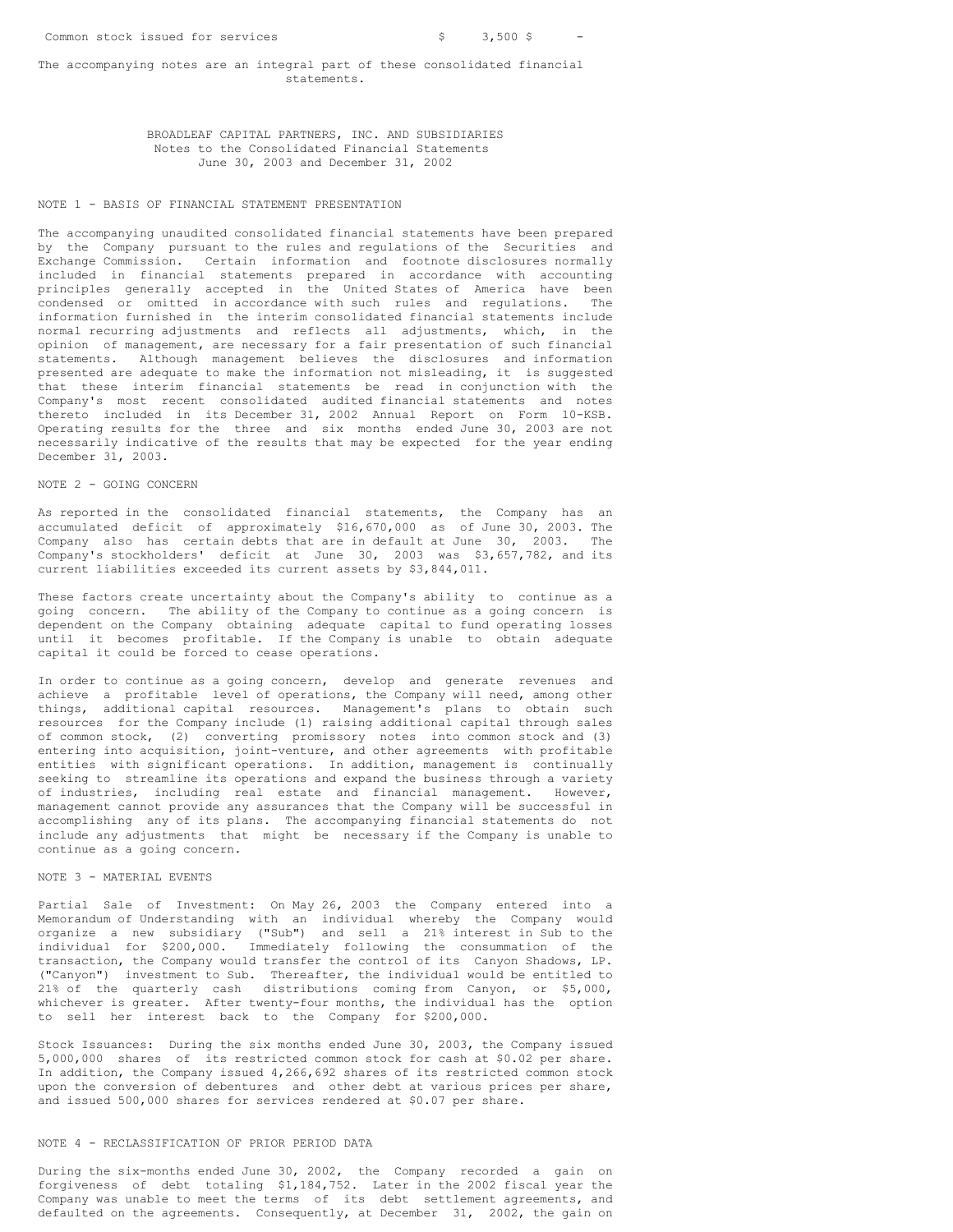#### The accompanying notes are an integral part of these consolidated financial statements.

## BROADLEAF CAPITAL PARTNERS, INC. AND SUBSIDIARIES Notes to the Consolidated Financial Statements June 30, 2003 and December 31, 2002

### NOTE 1 - BASIS OF FINANCIAL STATEMENT PRESENTATION

The accompanying unaudited consolidated financial statements have been prepared by the Company pursuant to the rules and regulations of the Securities and Exchange Commission. Certain information and footnote disclosures normally included in financial statements prepared in accordance with accounting principles generally accepted in the United States of America have been condensed or omitted in accordance with such rules and regulations. The information furnished in the interim consolidated financial statements include normal recurring adjustments and reflects all adjustments, which, in the opinion of management, are necessary for a fair presentation of such financial statements. Although management believes the disclosures and information presented are adequate to make the information not misleading, it is suggested that these interim financial statements be read in conjunction with the Company's most recent consolidated audited financial statements and notes thereto included in its December 31, 2002 Annual Report on Form 10-KSB. Operating results for the three and six months ended June 30, 2003 are not necessarily indicative of the results that may be expected for the year ending December 31, 2003.

### NOTE 2 - GOING CONCERN

As reported in the consolidated financial statements, the Company has an accumulated deficit of approximately \$16,670,000 as of June 30, 2003. The Company also has certain debts that are in default at June 30, 2003. The Company's stockholders' deficit at June 30, 2003 was \$3,657,782, and its current liabilities exceeded its current assets by \$3,844,011.

These factors create uncertainty about the Company's ability to continue as a going concern. The ability of the Company to continue as a going concern is dependent on the Company obtaining adequate capital to fund operating losses until it becomes profitable. If the Company is unable to obtain adequate capital it could be forced to cease operations.

In order to continue as a going concern, develop and generate revenues and achieve a profitable level of operations, the Company will need, among other things, additional capital resources. Management's plans to obtain such resources for the Company include (1) raising additional capital through sales of common stock, (2) converting promissory notes into common stock and (3) entering into acquisition, joint-venture, and other agreements with profitable entities with significant operations. In addition, management is continually seeking to streamline its operations and expand the business through a variety of industries, including real estate and financial management. However, management cannot provide any assurances that the Company will be successful in accomplishing any of its plans. The accompanying financial statements do not include any adjustments that might be necessary if the Company is unable to continue as a going concern.

# NOTE 3 - MATERIAL EVENTS

Partial Sale of Investment: On May 26, 2003 the Company entered into a Memorandum of Understanding with an individual whereby the Company would organize a new subsidiary ("Sub") and sell a 21% interest in Sub to the individual for \$200,000. Immediately following the consummation of the transaction, the Company would transfer the control of its Canyon Shadows, LP. ("Canyon") investment to Sub. Thereafter, the individual would be entitled to 21% of the quarterly cash distributions coming from Canyon, or \$5,000, whichever is greater. After twenty-four months, the individual has the option to sell her interest back to the Company for \$200,000.

Stock Issuances: During the six months ended June 30, 2003, the Company issued 5,000,000 shares of its restricted common stock for cash at \$0.02 per share. In addition, the Company issued 4,266,692 shares of its restricted common stock upon the conversion of debentures and other debt at various prices per share, and issued 500,000 shares for services rendered at \$0.07 per share.

#### NOTE 4 - RECLASSIFICATION OF PRIOR PERIOD DATA

During the six-months ended June 30, 2002, the Company recorded a gain on forgiveness of debt totaling \$1,184,752. Later in the 2002 fiscal year the Company was unable to meet the terms of its debt settlement agreements, and defaulted on the agreements. Consequently, at December 31, 2002, the gain on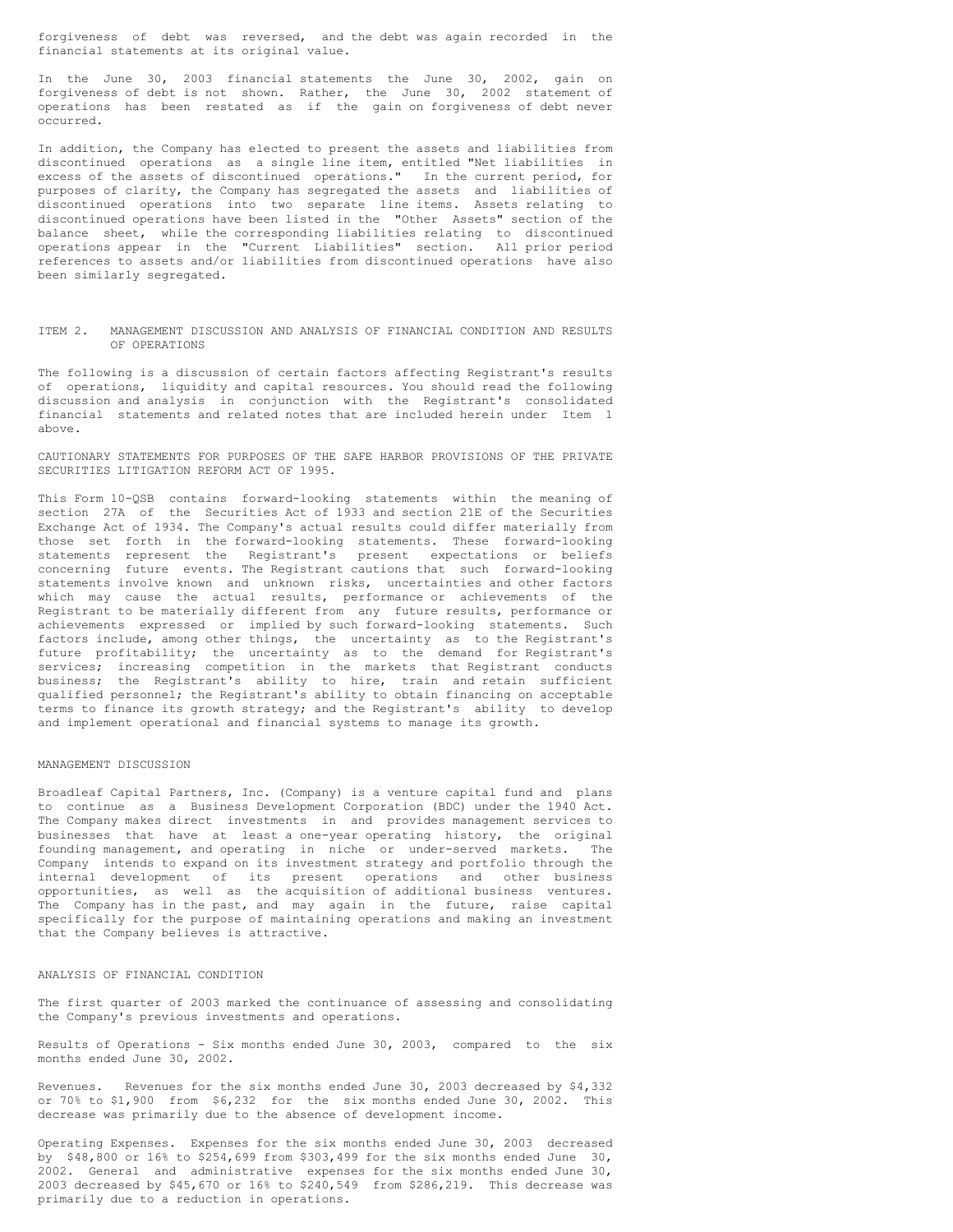forgiveness of debt was reversed, and the debt was again recorded in the financial statements at its original value.

In the June 30, 2003 financial statements the June 30, 2002, gain on forgiveness of debt is not shown. Rather, the June 30, 2002 statement of operations has been restated as if the gain on forgiveness of debt never occurred.

In addition, the Company has elected to present the assets and liabilities from discontinued operations as a single line item, entitled "Net liabilities in excess of the assets of discontinued operations." In the current period, for purposes of clarity, the Company has segregated the assets and liabilities of discontinued operations into two separate line items. Assets relating to discontinued operations have been listed in the "Other Assets" section of the balance sheet, while the corresponding liabilities relating to discontinued operations appear in the "Current Liabilities" section. All prior period references to assets and/or liabilities from discontinued operations have also been similarly segregated.

#### ITEM 2. MANAGEMENT DISCUSSION AND ANALYSIS OF FINANCIAL CONDITION AND RESULTS OF OPERATIONS

The following is a discussion of certain factors affecting Registrant's results of operations, liquidity and capital resources. You should read the following discussion and analysis in conjunction with the Registrant's consolidated financial statements and related notes that are included herein under Item 1 above.

CAUTIONARY STATEMENTS FOR PURPOSES OF THE SAFE HARBOR PROVISIONS OF THE PRIVATE SECURITIES LITIGATION REFORM ACT OF 1995.

This Form 10-QSB contains forward-looking statements within the meaning of section 27A of the Securities Act of 1933 and section 21E of the Securities Exchange Act of 1934. The Company's actual results could differ materially from those set forth in the forward-looking statements. These forward-looking statements represent the Registrant's present expectations or beliefs concerning future events. The Registrant cautions that such forward-looking statements involve known and unknown risks, uncertainties and other factors which may cause the actual results, performance or achievements of the Registrant to be materially different from any future results, performance or achievements expressed or implied by such forward-looking statements. Such factors include, among other things, the uncertainty as to the Registrant's future profitability; the uncertainty as to the demand for Registrant's services; increasing competition in the markets that Registrant conducts business; the Registrant's ability to hire, train and retain sufficient qualified personnel; the Registrant's ability to obtain financing on acceptable terms to finance its growth strategy; and the Registrant's ability to develop and implement operational and financial systems to manage its growth.

#### MANAGEMENT DISCUSSION

Broadleaf Capital Partners, Inc. (Company) is a venture capital fund and plans to continue as a Business Development Corporation (BDC) under the 1940 Act. The Company makes direct investments in and provides management services to businesses that have at least a one-year operating history, the original founding management, and operating in niche or under-served markets. The Company intends to expand on its investment strategy and portfolio through the internal development of its present operations and other business opportunities, as well as the acquisition of additional business ventures. The Company has in the past, and may again in the future, raise capital specifically for the purpose of maintaining operations and making an investment that the Company believes is attractive.

# ANALYSIS OF FINANCIAL CONDITION

The first quarter of 2003 marked the continuance of assessing and consolidating the Company's previous investments and operations.

Results of Operations - Six months ended June 30, 2003, compared to the six months ended June 30, 2002.

Revenues. Revenues for the six months ended June 30, 2003 decreased by \$4,332 or 70% to \$1,900 from \$6,232 for the six months ended June 30, 2002. This decrease was primarily due to the absence of development income.

Operating Expenses. Expenses for the six months ended June 30, 2003 decreased by \$48,800 or 16% to \$254,699 from \$303,499 for the six months ended June 30, 2002. General and administrative expenses for the six months ended June 30, 2003 decreased by \$45,670 or 16% to \$240,549 from \$286,219. This decrease was primarily due to a reduction in operations.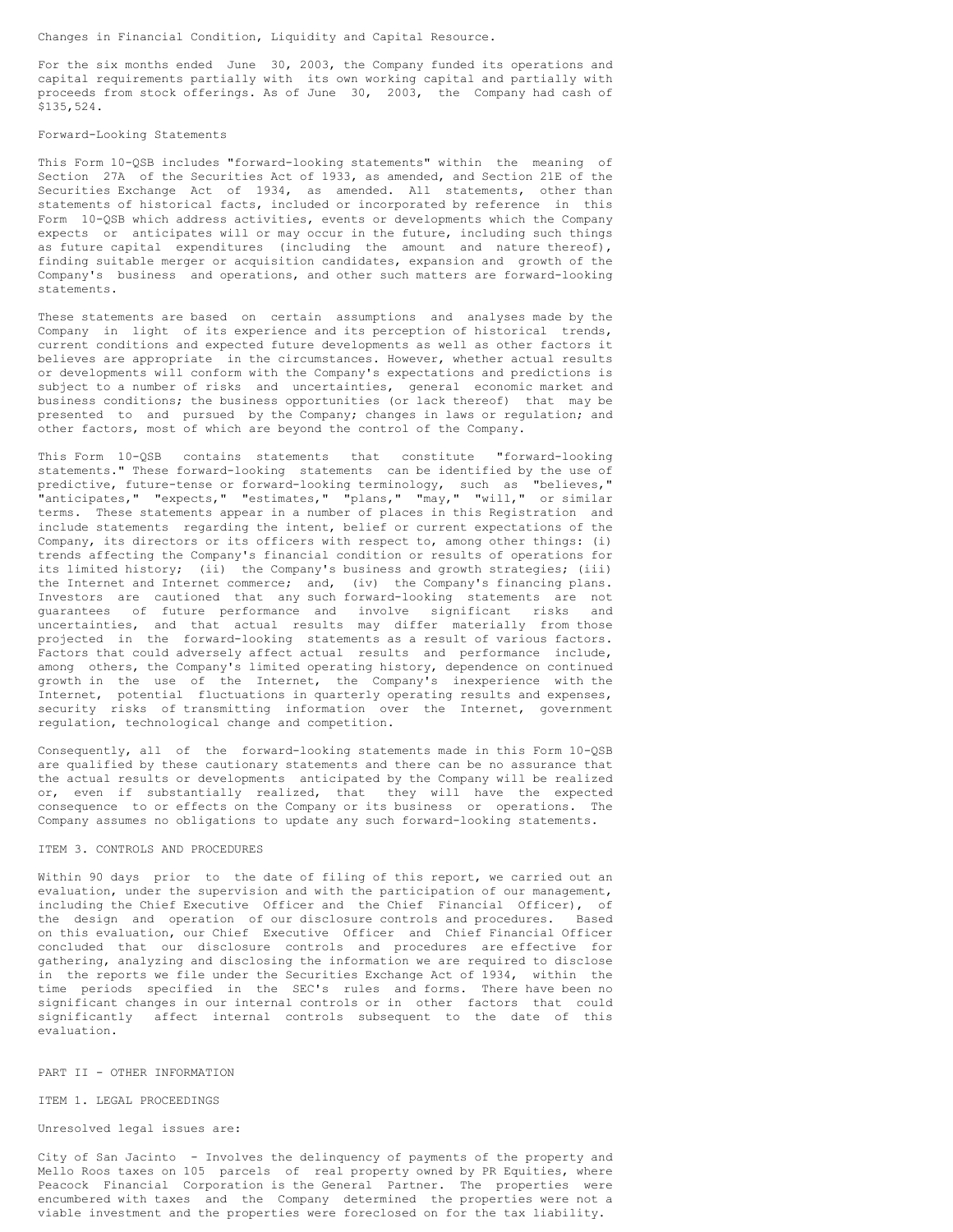Changes in Financial Condition, Liquidity and Capital Resource.

For the six months ended June 30, 2003, the Company funded its operations and capital requirements partially with its own working capital and partially with proceeds from stock offerings. As of June 30, 2003, the Company had cash of \$135,524.

### Forward-Looking Statements

This Form 10-QSB includes "forward-looking statements" within the meaning of Section 27A of the Securities Act of 1933, as amended, and Section 21E of the Securities Exchange Act of 1934, as amended. All statements, other than statements of historical facts, included or incorporated by reference in this Form 10-QSB which address activities, events or developments which the Company expects or anticipates will or may occur in the future, including such things as future capital expenditures (including the amount and nature thereof), finding suitable merger or acquisition candidates, expansion and growth of the Company's business and operations, and other such matters are forward-looking statements.

These statements are based on certain assumptions and analyses made by the Company in light of its experience and its perception of historical trends, current conditions and expected future developments as well as other factors it believes are appropriate in the circumstances. However, whether actual results or developments will conform with the Company's expectations and predictions is subject to a number of risks and uncertainties, general economic market and business conditions; the business opportunities (or lack thereof) that may be presented to and pursued by the Company; changes in laws or regulation; and other factors, most of which are beyond the control of the Company.

This Form 10-QSB contains statements that constitute "forward-looking statements." These forward-looking statements can be identified by the use of predictive, future-tense or forward-looking terminology, such as "believes," "anticipates," "expects," "estimates," "plans," "may," "will," or similar terms. These statements appear in a number of places in this Registration and include statements regarding the intent, belief or current expectations of the Company, its directors or its officers with respect to, among other things: (i) trends affecting the Company's financial condition or results of operations for its limited history; (ii) the Company's business and growth strategies; (iii) the Internet and Internet commerce; and, (iv) the Company's financing plans. Investors are cautioned that any such forward-looking statements are not guarantees of future performance and involve significant risks and uncertainties, and that actual results may differ materially from those projected in the forward-looking statements as a result of various factors. Factors that could adversely affect actual results and performance include, among others, the Company's limited operating history, dependence on continued growth in the use of the Internet, the Company's inexperience with the Internet, potential fluctuations in quarterly operating results and expenses, security risks of transmitting information over the Internet, government regulation, technological change and competition.

Consequently, all of the forward-looking statements made in this Form 10-QSB are qualified by these cautionary statements and there can be no assurance that the actual results or developments anticipated by the Company will be realized or, even if substantially realized, that they will have the expected consequence to or effects on the Company or its business or operations. The Company assumes no obligations to update any such forward-looking statements.

#### ITEM 3. CONTROLS AND PROCEDURES

Within 90 days prior to the date of filing of this report, we carried out an evaluation, under the supervision and with the participation of our management, including the Chief Executive Officer and the Chief Financial Officer), of the design and operation of our disclosure controls and procedures. Based on this evaluation, our Chief Executive Officer and Chief Financial Officer concluded that our disclosure controls and procedures are effective for gathering, analyzing and disclosing the information we are required to disclose in the reports we file under the Securities Exchange Act of 1934, within the time periods specified in the SEC's rules and forms. There have been no significant changes in our internal controls or in other factors that could significantly affect internal controls subsequent to the date of this evaluation.

#### PART II - OTHER INFORMATION

#### ITEM 1. LEGAL PROCEEDINGS

# Unresolved legal issues are:

City of San Jacinto - Involves the delinquency of payments of the property and Mello Roos taxes on 105 parcels of real property owned by PR Equities, where Peacock Financial Corporation is the General Partner. The properties were encumbered with taxes and the Company determined the properties were not a viable investment and the properties were foreclosed on for the tax liability.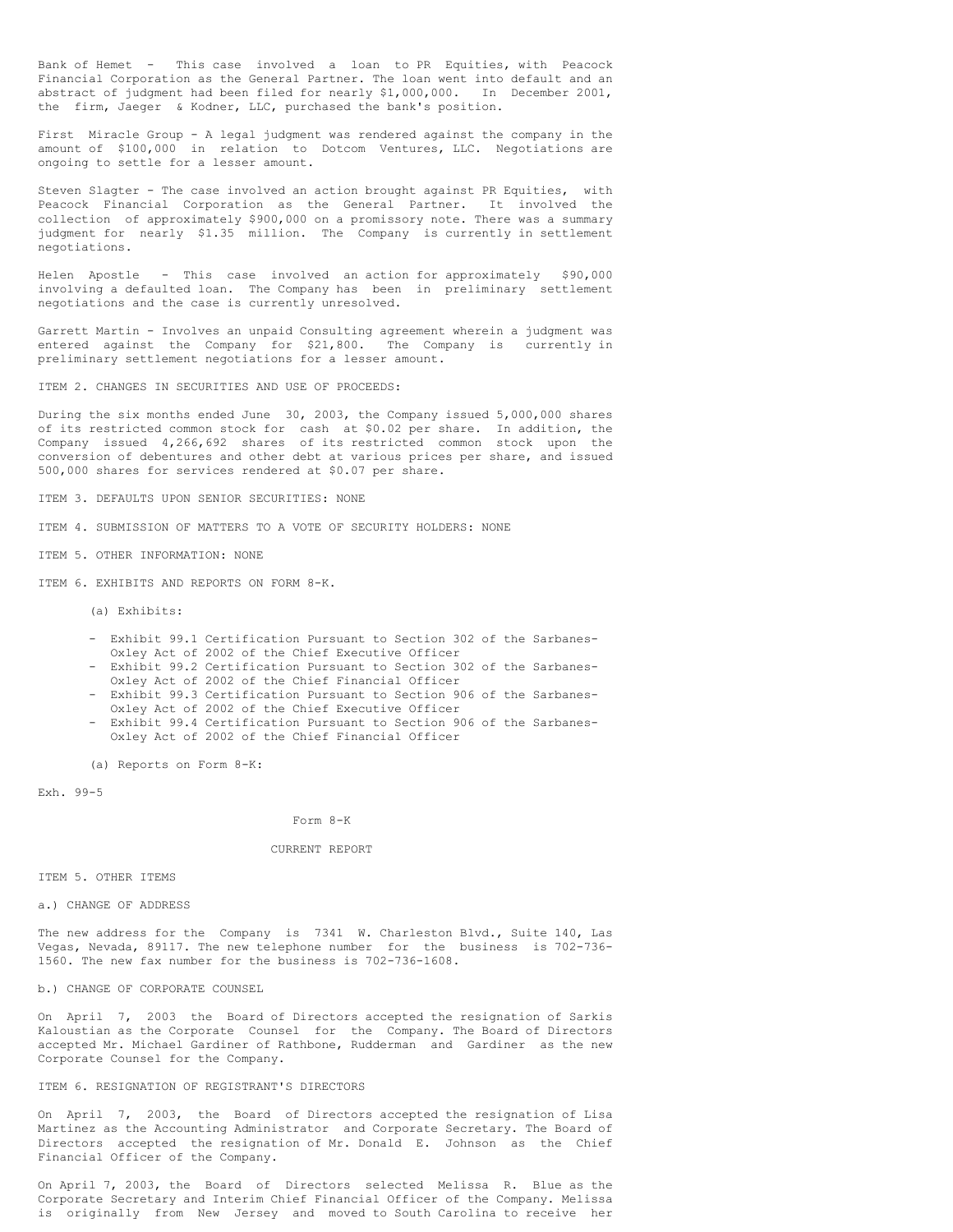Bank of Hemet - This case involved a loan to PR Equities, with Peacock Financial Corporation as the General Partner. The loan went into default and an abstract of judgment had been filed for nearly \$1,000,000. In December 2001, the firm, Jaeger & Kodner, LLC, purchased the bank's position.

First Miracle Group - A legal judgment was rendered against the company in the amount of \$100,000 in relation to Dotcom Ventures, LLC. Negotiations are ongoing to settle for a lesser amount.

Steven Slagter - The case involved an action brought against PR Equities, with Peacock Financial Corporation as the General Partner. It involved the collection of approximately \$900,000 on a promissory note. There was a summary judgment for nearly \$1.35 million. The Company is currently in settlement negotiations.

Helen Apostle - This case involved an action for approximately \$90,000 involving a defaulted loan. The Company has been in preliminary settlement negotiations and the case is currently unresolved.

Garrett Martin - Involves an unpaid Consulting agreement wherein a judgment was entered against the Company for \$21,800. The Company is currently in preliminary settlement negotiations for a lesser amount.

ITEM 2. CHANGES IN SECURITIES AND USE OF PROCEEDS:

During the six months ended June 30, 2003, the Company issued 5,000,000 shares of its restricted common stock for cash at \$0.02 per share. In addition, the Company issued 4,266,692 shares of its restricted common stock upon the conversion of debentures and other debt at various prices per share, and issued 500,000 shares for services rendered at \$0.07 per share.

ITEM 3. DEFAULTS UPON SENIOR SECURITIES: NONE

ITEM 4. SUBMISSION OF MATTERS TO A VOTE OF SECURITY HOLDERS: NONE

ITEM 5. OTHER INFORMATION: NONE

ITEM 6. EXHIBITS AND REPORTS ON FORM 8-K.

(a) Exhibits:

- Exhibit 99.1 Certification Pursuant to Section 302 of the Sarbanes-Oxley Act of 2002 of the Chief Executive Officer
- Exhibit 99.2 Certification Pursuant to Section 302 of the Sarbanes-Oxley Act of 2002 of the Chief Financial Officer
- Exhibit 99.3 Certification Pursuant to Section 906 of the Sarbanes-Oxley Act of 2002 of the Chief Executive Officer
- Exhibit 99.4 Certification Pursuant to Section 906 of the Sarbanes-Oxley Act of 2002 of the Chief Financial Officer

(a) Reports on Form 8-K:

Exh. 99-5

Form 8-K

#### CURRENT REPORT

ITEM 5. OTHER ITEMS

a.) CHANGE OF ADDRESS

The new address for the Company is 7341 W. Charleston Blvd., Suite 140, Las Vegas, Nevada, 89117. The new telephone number for the business is 702-736- 1560. The new fax number for the business is 702-736-1608.

b.) CHANGE OF CORPORATE COUNSEL

On April 7, 2003 the Board of Directors accepted the resignation of Sarkis Kaloustian as the Corporate Counsel for the Company. The Board of Directors accepted Mr. Michael Gardiner of Rathbone, Rudderman and Gardiner as the new Corporate Counsel for the Company.

#### ITEM 6. RESIGNATION OF REGISTRANT'S DIRECTORS

On April 7, 2003, the Board of Directors accepted the resignation of Lisa Martinez as the Accounting Administrator and Corporate Secretary. The Board of Directors accepted the resignation of Mr. Donald E. Johnson as the Chief Financial Officer of the Company.

On April 7, 2003, the Board of Directors selected Melissa R. Blue as the Corporate Secretary and Interim Chief Financial Officer of the Company. Melissa is originally from New Jersey and moved to South Carolina to receive her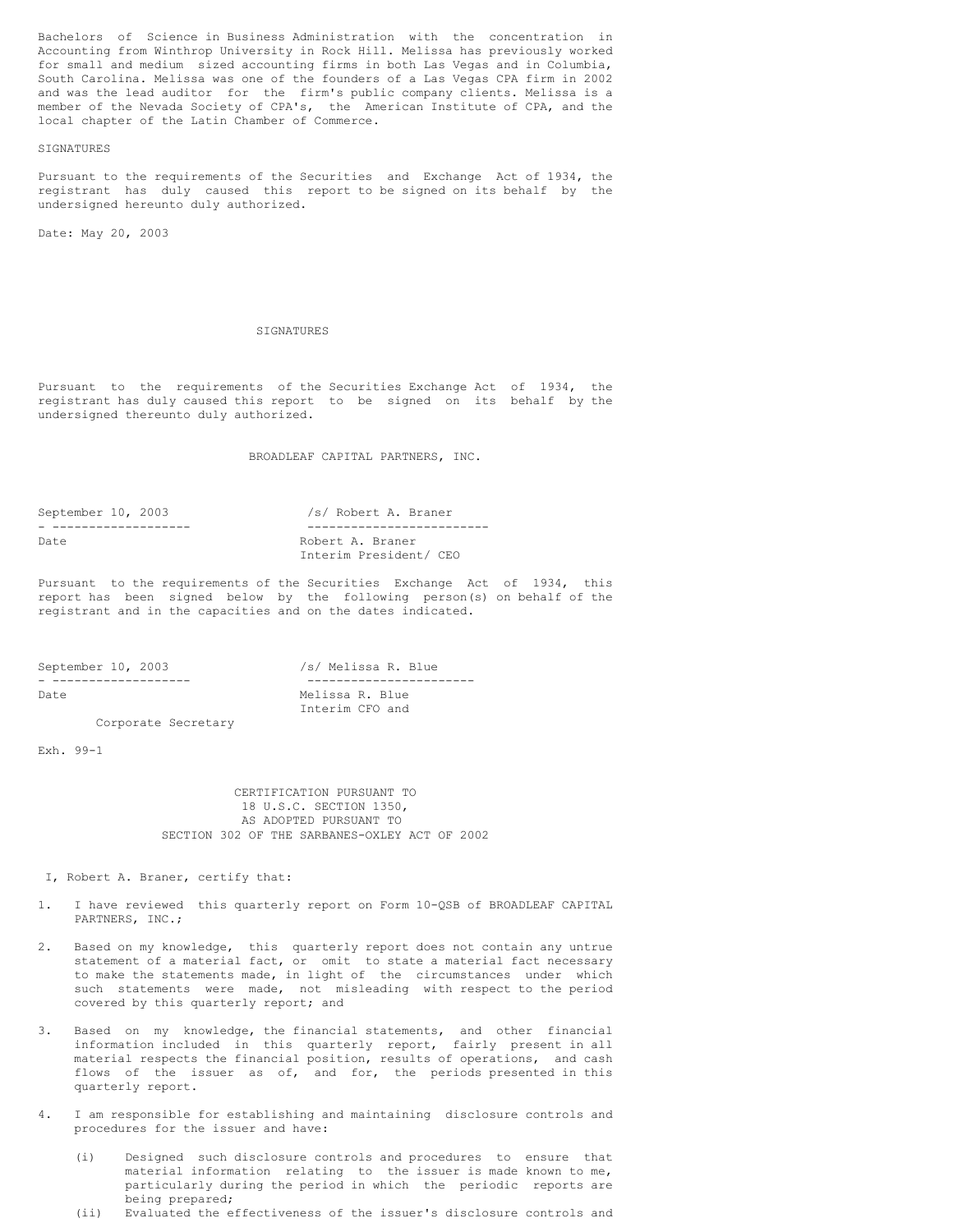Bachelors of Science in Business Administration with the concentration in Accounting from Winthrop University in Rock Hill. Melissa has previously worked for small and medium sized accounting firms in both Las Vegas and in Columbia, South Carolina. Melissa was one of the founders of a Las Vegas CPA firm in 2002 and was the lead auditor for the firm's public company clients. Melissa is a member of the Nevada Society of CPA's, the American Institute of CPA, and the local chapter of the Latin Chamber of Commerce.

### SIGNATURES

Pursuant to the requirements of the Securities and Exchange Act of 1934, the registrant has duly caused this report to be signed on its behalf by the undersigned hereunto duly authorized.

Date: May 20, 2003

#### **SIGNATURES**

Pursuant to the requirements of the Securities Exchange Act of 1934, the registrant has duly caused this report to be signed on its behalf by the undersigned thereunto duly authorized.

BROADLEAF CAPITAL PARTNERS, INC.

| September 10, 2003 | /s/ Robert A. Braner   |
|--------------------|------------------------|
|                    |                        |
| Date               | Robert A. Braner       |
|                    | Interim President/ CEO |

Pursuant to the requirements of the Securities Exchange Act of 1934, this report has been signed below by the following person(s) on behalf of the registrant and in the capacities and on the dates indicated.

| September 10, 2003 |                     |                 |  |  | /s/ Melissa R. Blue |  |
|--------------------|---------------------|-----------------|--|--|---------------------|--|
|                    |                     |                 |  |  |                     |  |
| Date               |                     | Melissa R. Blue |  |  |                     |  |
|                    |                     | Interim CFO and |  |  |                     |  |
|                    | Corporate Secretary |                 |  |  |                     |  |

Exh. 99-1

CERTIFICATION PURSUANT TO 18 U.S.C. SECTION 1350, AS ADOPTED PURSUANT TO SECTION 302 OF THE SARBANES-OXLEY ACT OF 2002

I, Robert A. Braner, certify that:

- 1. I have reviewed this quarterly report on Form 10-QSB of BROADLEAF CAPITAL PARTNERS, INC.;
- 2. Based on my knowledge, this quarterly report does not contain any untrue statement of a material fact, or omit to state a material fact necessary to make the statements made, in light of the circumstances under which such statements were made, not misleading with respect to the period covered by this quarterly report; and
- Based on my knowledge, the financial statements, and other financial information included in this quarterly report, fairly present in all material respects the financial position, results of operations, and cash flows of the issuer as of, and for, the periods presented in this quarterly report.
- 4. I am responsible for establishing and maintaining disclosure controls and procedures for the issuer and have:
	- (i) Designed such disclosure controls and procedures to ensure that material information relating to the issuer is made known to me, particularly during the period in which the periodic reports are being prepared;
	- (ii) Evaluated the effectiveness of the issuer's disclosure controls and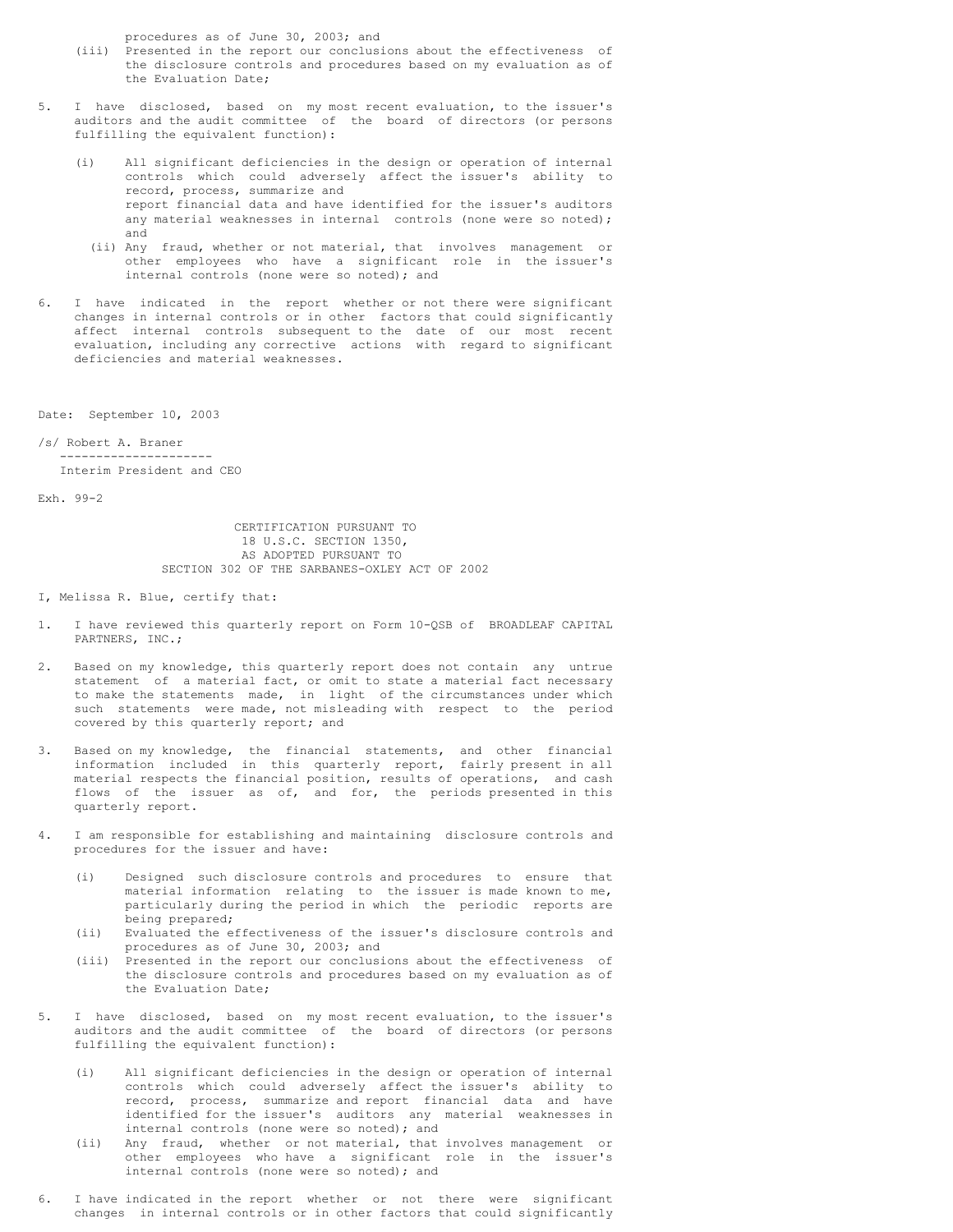procedures as of June 30, 2003; and

- (iii) Presented in the report our conclusions about the effectiveness of the disclosure controls and procedures based on my evaluation as of the Evaluation Date;
- 5. I have disclosed, based on my most recent evaluation, to the issuer's auditors and the audit committee of the board of directors (or persons fulfilling the equivalent function):
	- (i) All significant deficiencies in the design or operation of internal controls which could adversely affect the issuer's ability to record, process, summarize and report financial data and have identified for the issuer's auditors any material weaknesses in internal controls (none were so noted); and
		- (ii) Any fraud, whether or not material, that involves management or other employees who have a significant role in the issuer's internal controls (none were so noted); and
- 6. I have indicated in the report whether or not there were significant changes in internal controls or in other factors that could significantly affect internal controls subsequent to the date of our most recent evaluation, including any corrective actions with regard to significant deficiencies and material weaknesses.

Date: September 10, 2003

/s/ Robert A. Braner --------------------- Interim President and CEO

Exh. 99-2

CERTIFICATION PURSUANT TO 18 U.S.C. SECTION 1350, AS ADOPTED PURSUANT TO SECTION 302 OF THE SARBANES-OXLEY ACT OF 2002

- I, Melissa R. Blue, certify that:
- 1. I have reviewed this quarterly report on Form 10-QSB of BROADLEAF CAPITAL PARTNERS, INC.;
- 2. Based on my knowledge, this quarterly report does not contain any untrue statement of a material fact, or omit to state a material fact necessary to make the statements made, in light of the circumstances under which such statements were made, not misleading with respect to the period covered by this quarterly report; and
- 3. Based on my knowledge, the financial statements, and other financial information included in this quarterly report, fairly present in all material respects the financial position, results of operations, and cash flows of the issuer as of, and for, the periods presented in this quarterly report.
- 4. I am responsible for establishing and maintaining disclosure controls and procedures for the issuer and have:
	- (i) Designed such disclosure controls and procedures to ensure that material information relating to the issuer is made known to me, particularly during the period in which the periodic reports are being prepared;
	- (ii) Evaluated the effectiveness of the issuer's disclosure controls and procedures as of June 30, 2003; and
	- (iii) Presented in the report our conclusions about the effectiveness of the disclosure controls and procedures based on my evaluation as of the Evaluation Date;
- 5. I have disclosed, based on my most recent evaluation, to the issuer's auditors and the audit committee of the board of directors (or persons fulfilling the equivalent function):
	- (i) All significant deficiencies in the design or operation of internal controls which could adversely affect the issuer's ability to record, process, summarize and report financial data and have identified for the issuer's auditors any material weaknesses in internal controls (none were so noted); and
	- (ii) Any fraud, whether or not material, that involves management or other employees who have a significant role in the issuer's internal controls (none were so noted); and
- 6. I have indicated in the report whether or not there were significant changes in internal controls or in other factors that could significantly